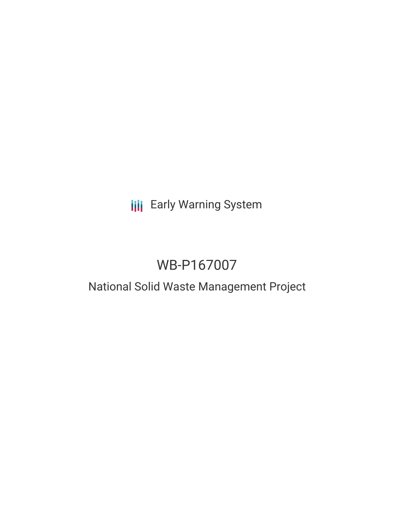# **III** Early Warning System

# WB-P167007

### National Solid Waste Management Project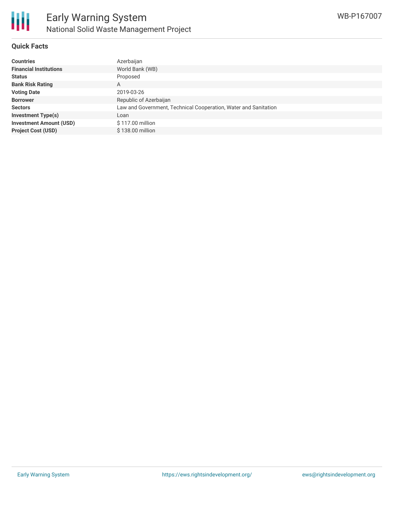

#### **Quick Facts**

| <b>Countries</b>               | Azerbaijan                                                      |
|--------------------------------|-----------------------------------------------------------------|
| <b>Financial Institutions</b>  | World Bank (WB)                                                 |
| <b>Status</b>                  | Proposed                                                        |
| <b>Bank Risk Rating</b>        | А                                                               |
| <b>Voting Date</b>             | 2019-03-26                                                      |
| <b>Borrower</b>                | Republic of Azerbaijan                                          |
| <b>Sectors</b>                 | Law and Government, Technical Cooperation, Water and Sanitation |
| <b>Investment Type(s)</b>      | Loan                                                            |
| <b>Investment Amount (USD)</b> | \$117.00 million                                                |
| <b>Project Cost (USD)</b>      | \$138.00 million                                                |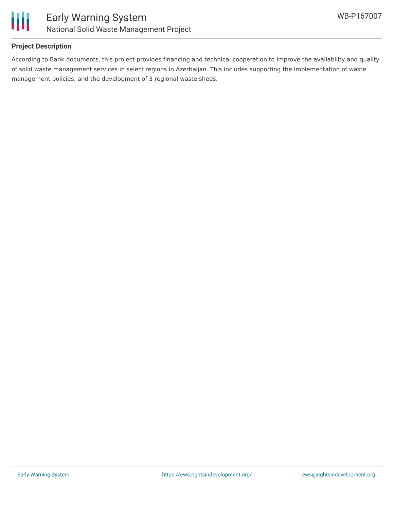

#### **Project Description**

According to Bank documents, this project provides financing and technical cooperation to improve the availability and quality of solid waste management services in select regions in Azerbaijan. This includes supporting the implementation of waste management policies, and the development of 3 regional waste sheds.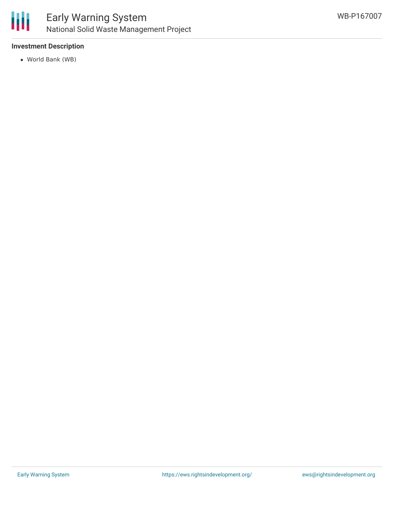

#### **Investment Description**

World Bank (WB)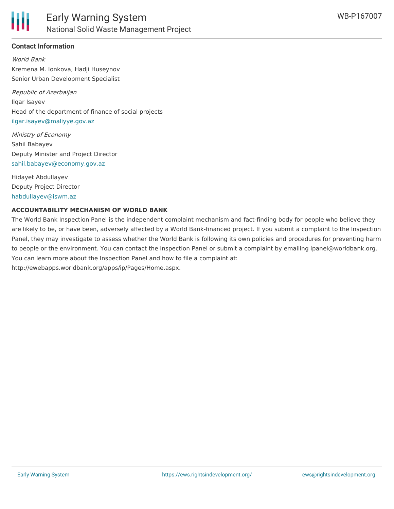

#### **Contact Information**

World Bank Kremena M. Ionkova, Hadji Huseynov Senior Urban Development Specialist

Republic of Azerbaijan Ilqar Isayev Head of the department of finance of social projects [ilgar.isayev@maliyye.gov.az](mailto:ilgar.isayev@maliyye.gov.az)

Ministry of Economy Sahil Babayev Deputy Minister and Project Director [sahil.babayev@economy.gov.az](mailto:sahil.babayev@economy.gov.az)

Hidayet Abdullayev Deputy Project Director [habdullayev@iswm.az](mailto:habdullayev@iswm.az)

#### **ACCOUNTABILITY MECHANISM OF WORLD BANK**

The World Bank Inspection Panel is the independent complaint mechanism and fact-finding body for people who believe they are likely to be, or have been, adversely affected by a World Bank-financed project. If you submit a complaint to the Inspection Panel, they may investigate to assess whether the World Bank is following its own policies and procedures for preventing harm to people or the environment. You can contact the Inspection Panel or submit a complaint by emailing ipanel@worldbank.org. You can learn more about the Inspection Panel and how to file a complaint at: http://ewebapps.worldbank.org/apps/ip/Pages/Home.aspx.